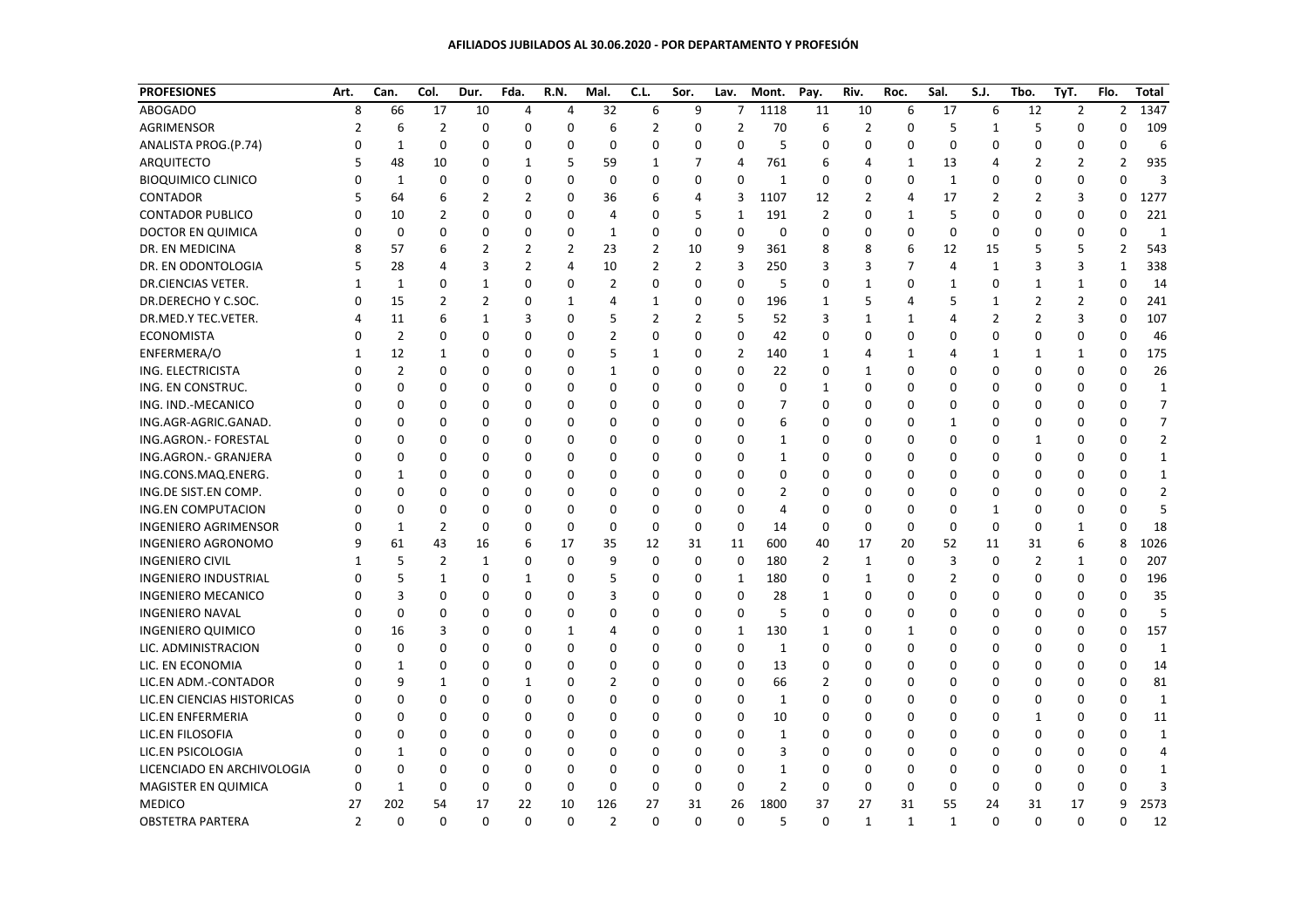## **AFILIADOS JUBILADOS AL 30.06.2020 - POR DEPARTAMENTO Y PROFESIÓN**

| <b>PROFESIONES</b>          | Art.           | Can.           | Col.           | Dur.           | Fda.        | R.N.     | Mal.           | C.L.           | Sor.           | Lav.           | Mont.          | Pay.           | Riv.         | Roc.         | Sal.           | S.J.           | Tbo.           | TyT.           | Flo.         | <b>Total</b>   |
|-----------------------------|----------------|----------------|----------------|----------------|-------------|----------|----------------|----------------|----------------|----------------|----------------|----------------|--------------|--------------|----------------|----------------|----------------|----------------|--------------|----------------|
| <b>ABOGADO</b>              | 8              | 66             | 17             | 10             | 4           | 4        | 32             | 6              | 9              | 7              | 1118           | 11             | 10           | 6            | 17             | 6              | 12             | $\overline{2}$ | 2            | 1347           |
| AGRIMENSOR                  | 2              | 6              | $\overline{2}$ | $\mathbf 0$    | $\mathbf 0$ | 0        | 6              | $\overline{2}$ | $\mathbf 0$    | $\overline{2}$ | 70             | 6              | 2            | 0            | 5              | $\mathbf{1}$   | 5              | $\mathbf 0$    | 0            | 109            |
| ANALISTA PROG.(P.74)        | $\Omega$       | 1              | 0              | $\Omega$       | 0           | 0        | $\mathbf 0$    | $\mathbf 0$    | $\mathbf 0$    | $\Omega$       | 5              | $\Omega$       | 0            | $\Omega$     | $\mathbf 0$    | 0              | 0              | $\Omega$       | $\Omega$     | 6              |
| ARQUITECTO                  | 5              | 48             | 10             | 0              | 1           | 5        | 59             | $\mathbf{1}$   | 7              | 4              | 761            | 6              | 4            | 1            | 13             | 4              | 2              | 2              | 2            | 935            |
| <b>BIOQUIMICO CLINICO</b>   | $\Omega$       | $\mathbf{1}$   | 0              | $\Omega$       | $\Omega$    | $\Omega$ | $\mathbf 0$    | $\mathbf 0$    | $\mathbf 0$    | $\Omega$       | $\mathbf{1}$   | $\mathbf 0$    | 0            | $\mathbf 0$  | $1\,$          | $\Omega$       | 0              | $\Omega$       | $\Omega$     | $\mathbf{3}$   |
| CONTADOR                    | 5              | 64             | 6              | 2              | 2           | 0        | 36             | 6              | $\overline{4}$ | 3              | 1107           | 12             | 2            | 4            | 17             | $\overline{2}$ | 2              | 3              | $\Omega$     | 1277           |
| <b>CONTADOR PUBLICO</b>     | 0              | 10             | 2              | 0              | 0           | 0        | 4              | 0              | 5              | 1              | 191            | $\overline{2}$ | 0            | 1            | 5              | 0              | 0              | 0              | 0            | 221            |
| DOCTOR EN QUIMICA           | 0              | 0              | 0              | 0              | 0           | 0        | 1              | 0              | 0              | 0              | $\mathbf 0$    | 0              | 0            | 0            | 0              | 0              | 0              | 0              | 0            | $\mathbf{1}$   |
| DR. EN MEDICINA             | 8              | 57             | 6              | $\overline{2}$ | 2           | 2        | 23             | $\overline{2}$ | 10             | 9              | 361            | 8              | 8            | 6            | 12             | 15             | 5              | 5              | 2            | 543            |
| DR. EN ODONTOLOGIA          | 5              | 28             | 4              | 3              | 2           | 4        | 10             | $\overline{2}$ | $\overline{2}$ | 3              | 250            | 3              | 3            | 7            | $\overline{4}$ | 1              | 3              | 3              | 1            | 338            |
| DR.CIENCIAS VETER.          | $\mathbf{1}$   | 1              | 0              | 1              | 0           | 0        | $\overline{2}$ | $\mathbf 0$    | $\mathbf 0$    | $\mathbf 0$    | 5              | $\mathbf 0$    | $\mathbf{1}$ | 0            | 1              | 0              | 1              | 1              | $\mathbf 0$  | 14             |
| DR.DERECHO Y C.SOC.         | $\Omega$       | 15             | 2              | 2              | $\Omega$    | 1        | 4              | $\mathbf{1}$   | $\mathbf 0$    | 0              | 196            | $\mathbf{1}$   | 5            | 4            | 5              | 1              | 2              | $\overline{2}$ | $\mathbf 0$  | 241            |
| DR.MED.Y TEC.VETER.         | 4              | 11             | 6              | 1              | 3           | 0        | 5              | $\overline{2}$ | $\overline{2}$ | 5              | 52             | 3              | $\mathbf{1}$ | 1            | 4              | $\overline{2}$ | 2              | 3              | 0            | 107            |
| <b>ECONOMISTA</b>           | $\Omega$       | $\overline{2}$ | 0              | 0              | $\Omega$    | 0        | $\overline{2}$ | $\mathbf 0$    | $\mathbf 0$    | 0              | 42             | 0              | 0            | 0            | 0              | 0              | 0              | $\mathbf 0$    | 0            | 46             |
| ENFERMERA/O                 | 1              | 12             | 1              | 0              | 0           | 0        | 5              | 1              | 0              | $\overline{2}$ | 140            | 1              | 4            | 1            | $\overline{4}$ | 1              | 1              | 1              | 0            | 175            |
| ING. ELECTRICISTA           | $\Omega$       | $\overline{2}$ | 0              | 0              | 0           | 0        | $\mathbf{1}$   | $\mathbf 0$    | $\mathbf 0$    | 0              | 22             | 0              | $\mathbf{1}$ | 0            | $\Omega$       | $\mathbf 0$    | O              | $\mathbf 0$    | 0            | 26             |
| ING. EN CONSTRUC.           | O              | $\Omega$       | 0              | O              | 0           | 0        | $\mathbf 0$    | 0              | 0              | 0              | 0              | 1              | 0            | 0            | 0              | 0              | O              | $\Omega$       | 0            | $\mathbf{1}$   |
| ING. IND.-MECANICO          | O              | O              | 0              | 0              | 0           | 0        | $\mathbf 0$    | $\mathbf 0$    | $\mathbf 0$    | 0              | 7              | $\mathbf 0$    | 0            | $\Omega$     | 0              | 0              | O              | $\Omega$       | $\Omega$     | $\overline{7}$ |
| ING.AGR-AGRIC.GANAD.        | O              | $\Omega$       | 0              | 0              | 0           | 0        | $\mathbf 0$    | $\mathbf 0$    | $\mathbf 0$    | 0              | 6              | $\mathbf 0$    | 0            | $\mathbf 0$  | 1              | 0              | 0              | $\Omega$       | O            | $\overline{7}$ |
| ING.AGRON.- FORESTAL        | $\Omega$       | $\Omega$       | 0              | 0              | 0           | 0        | 0              | 0              | $\mathbf 0$    | 0              | 1              | 0              | 0            | 0            | $\mathbf 0$    | 0              | 1              | $\Omega$       | O            | 2              |
| ING.AGRON.- GRANJERA        | O              | 0              | 0              | 0              | 0           | 0        | 0              | 0              | 0              | 0              | 1              | 0              | 0            | 0            | 0              | 0              | 0              | 0              | U            | 1              |
| ING.CONS.MAQ.ENERG.         | 0              | 1              | 0              | 0              | 0           | 0        | 0              | 0              | 0              | 0              | 0              | 0              | 0            | 0            | 0              | 0              | 0              | 0              | 0            | 1              |
| ING.DE SIST.EN COMP.        |                | $\Omega$       | 0              | O              | $\Omega$    | 0        | $\Omega$       | $\mathbf 0$    | $\mathbf 0$    | 0              | 2              | $\mathbf 0$    | 0            | 0            | 0              | 0              | O              | $\Omega$       | O            | $\overline{2}$ |
| <b>ING.EN COMPUTACION</b>   | $\Omega$       | $\Omega$       | 0              | O              | $\Omega$    | 0        | 0              | 0              | $\mathbf 0$    | 0              | 4              | $\mathbf 0$    | 0            | 0            | 0              | 1              | 0              | $\Omega$       | 0            | 5              |
| <b>INGENIERO AGRIMENSOR</b> | $\Omega$       | 1              | $\overline{2}$ | 0              | $\Omega$    | $\Omega$ | $\mathbf 0$    | $\Omega$       | $\mathbf 0$    | $\mathbf 0$    | 14             | $\mathbf 0$    | $\mathbf 0$  | $\mathbf 0$  | $\mathbf 0$    | $\mathbf 0$    | 0              | $\mathbf{1}$   | $\mathbf{0}$ | 18             |
| <b>INGENIERO AGRONOMO</b>   | 9              | 61             | 43             | 16             | 6           | 17       | 35             | 12             | 31             | 11             | 600            | 40             | 17           | 20           | 52             | 11             | 31             | 6              | 8            | 1026           |
| <b>INGENIERO CIVIL</b>      | 1              | 5              | 2              | $\mathbf{1}$   | 0           | 0        | 9              | $\mathbf 0$    | $\mathbf 0$    | $\mathbf 0$    | 180            | $\overline{2}$ | $\mathbf{1}$ | $\mathbf 0$  | $\overline{3}$ | $\mathbf 0$    | $\overline{2}$ | $\mathbf{1}$   | 0            | 207            |
| <b>INGENIERO INDUSTRIAL</b> | O              | 5              | $\mathbf{1}$   | O              | 1           | 0        | 5              | $\mathbf 0$    | 0              | 1              | 180            | $\mathbf 0$    | $\mathbf{1}$ | 0            | $\overline{2}$ | 0              | 0              | $\mathbf 0$    | $\mathbf 0$  | 196            |
| <b>INGENIERO MECANICO</b>   | O              | 3              | 0              | 0              | 0           | 0        | 3              | 0              | 0              | 0              | 28             | $\mathbf{1}$   | 0            | 0            | 0              | 0              | 0              | $\Omega$       | 0            | 35             |
| <b>INGENIERO NAVAL</b>      | O              | 0              | 0              | 0              | 0           | 0        | 0              | 0              | 0              | 0              | 5              | 0              | 0            | 0            | 0              | 0              | O              | O              | 0            | 5              |
| <b>INGENIERO QUIMICO</b>    | O              | 16             | 3              | 0              | 0           | 1        | 4              | 0              | $\mathbf 0$    | 1              | 130            | $\mathbf{1}$   | 0            | $\mathbf{1}$ | 0              | $\Omega$       | O              | 0              | 0            | 157            |
| LIC. ADMINISTRACION         |                | 0              | 0              | O              | $\Omega$    | 0        | $\mathbf 0$    | $\Omega$       | 0              | $\mathbf 0$    | 1              | $\mathbf 0$    | 0            | $\mathbf 0$  | 0              | 0              | O              | $\Omega$       | $\Omega$     | $\mathbf{1}$   |
| LIC. EN ECONOMIA            | O              | 1              | 0              | O              | 0           | 0        | 0              | $\mathbf 0$    | $\mathbf 0$    | $\mathbf 0$    | 13             | $\mathbf 0$    | 0            | 0            | 0              | 0              | 0              | $\Omega$       | 0            | 14             |
| LIC.EN ADM.-CONTADOR        | O              | 9              | 1              | $\Omega$       | 1           | 0        | $\overline{2}$ | 0              | $\mathbf 0$    | 0              | 66             | $\overline{2}$ | 0            | $\Omega$     | $\mathbf 0$    | 0              | 0              | $\Omega$       | $\Omega$     | 81             |
| LIC.EN CIENCIAS HISTORICAS  | 0              | 0              | 0              | 0              | 0           | 0        | 0              | 0              | 0              | 0              | 1              | 0              | 0            | 0            | 0              | 0              | 0              | 0              | 0            | 1              |
| LIC.EN ENFERMERIA           | O              | 0              | 0              | 0              | 0           | 0        | $\mathbf 0$    | 0              | $\mathbf 0$    | 0              | 10             | 0              | 0            | 0            | 0              | 0              | 1              | 0              | 0            | 11             |
| LIC.EN FILOSOFIA            | 0              | 0              | 0              | 0              | 0           | 0        | 0              | 0              | $\mathbf 0$    | 0              | $\mathbf{1}$   | $\mathbf 0$    | 0            | 0            | 0              | 0              | 0              | 0              | 0            | 1              |
| LIC.EN PSICOLOGIA           | 0              | $\mathbf{1}$   | 0              | 0              | 0           | 0        | $\mathbf 0$    | 0              | $\mathbf 0$    | 0              | 3              | $\mathbf 0$    | 0            | $\mathbf 0$  | 0              | $\Omega$       | O              | $\Omega$       | O            | $\overline{a}$ |
| LICENCIADO EN ARCHIVOLOGIA  | 0              | $\Omega$       | $\mathbf 0$    | 0              | $\Omega$    | 0        | $\mathbf 0$    | 0              | 0              | 0              | $\mathbf{1}$   | $\mathbf 0$    | 0            | 0            | 0              | 0              | $\Omega$       | $\Omega$       | O            | 1              |
| MAGISTER EN QUIMICA         | 0              | $\mathbf{1}$   | $\mathbf 0$    | 0              | $\mathbf 0$ | 0        | $\mathbf 0$    | $\mathbf 0$    | $\mathbf 0$    | $\mathbf 0$    | $\overline{2}$ | $\mathbf 0$    | $\mathbf 0$  | 0            | $\mathbf 0$    | $\mathbf 0$    | 0              | 0              | O            |                |
| <b>MEDICO</b>               | 27             | 202            | 54             | 17             | 22          | 10       | 126            | 27             | 31             | 26             | 1800           | 37             | 27           | 31           | 55             | 24             | 31             | 17             | 9            | 2573           |
| <b>OBSTETRA PARTERA</b>     | $\overline{2}$ | $\mathbf 0$    | $\mathbf 0$    | $\mathbf 0$    | $\mathbf 0$ | 0        | $\overline{2}$ | $\mathbf 0$    | $\mathbf 0$    | 0              | 5              | 0              | $\mathbf{1}$ | $\mathbf{1}$ | $\mathbf 1$    | 0              | $\mathbf 0$    | $\mathbf 0$    | 0            | 12             |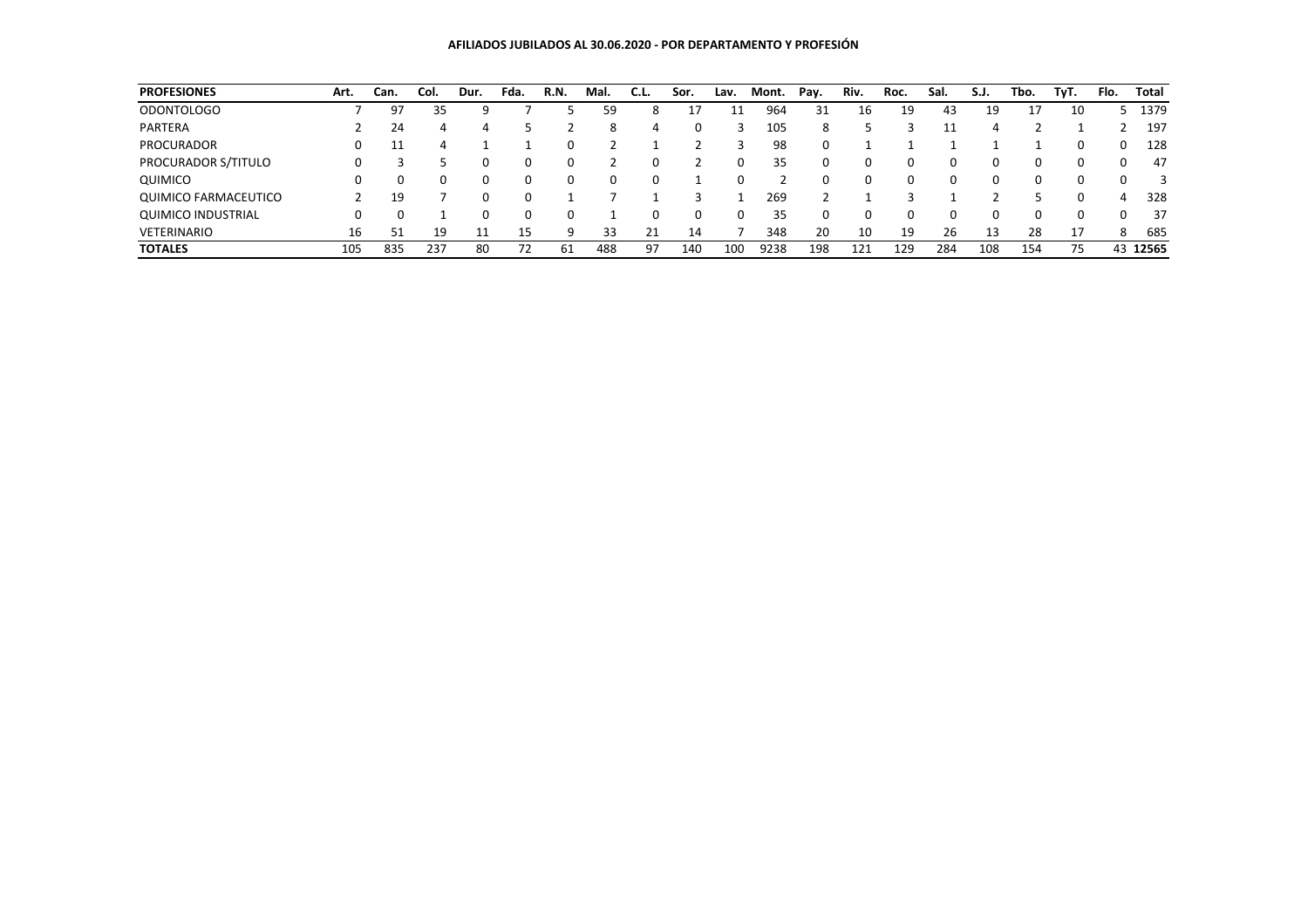| <b>PROFESIONES</b>        | Art. | Can. | Col. | Dur.     | Fda. | R.N.     | Mal. | C.L. | Sor. | Lav. | Mont. | Pay. | Riv. | Roc. | Sal. | S.J.     | Tbo. | TvT. | Flo.     | <b>Total</b> |
|---------------------------|------|------|------|----------|------|----------|------|------|------|------|-------|------|------|------|------|----------|------|------|----------|--------------|
| <b>ODONTOLOGO</b>         |      | 97   | 35   |          |      |          | 59   | 8    | 17   | 11   | 964   | 31   | 16   | 19   | 43   | 19       | 17   | 10   |          | 1379         |
| PARTERA                   |      | 24   | 4    |          |      |          | 8    | 4    | 0    |      | 105   | 8    |      |      |      | 4        |      |      |          | 197          |
| <b>PROCURADOR</b>         |      |      | 4    |          |      | $\Omega$ |      |      |      | Р    | 98    | 0    |      |      |      |          |      |      | $\Omega$ | 128          |
| PROCURADOR S/TITULO       | 0    |      |      | 0        |      | 0        |      |      |      |      | 35    | 0    | 0    | 0    |      | $\Omega$ |      |      |          | 47           |
| QUIMICO                   |      |      | 0    |          |      |          |      |      |      |      |       |      |      | 0    |      | $\Omega$ |      |      |          |              |
| QUIMICO FARMACEUTICO      |      | 19   |      | $\Omega$ |      |          |      |      |      |      | 269   |      |      |      |      |          |      |      | Δ        | 328          |
| <b>QUIMICO INDUSTRIAL</b> |      |      |      |          |      |          |      |      | 0    |      | 35    | 0    |      | 0    |      | $\Omega$ |      |      |          | 37           |
| <b>VETERINARIO</b>        | 16   |      | 19   |          | 15   | q        | 33   | 21   | 14   |      | 348   | 20   | 10   | 19   | 26   | 13       | 28   | 17   | 8        | 685          |
| <b>TOTALES</b>            | 105  | 835  | 237  | 80       | 72   | 61       | 488  | 97   | 140  | 100  | 9238  | 198  | 121  | 129  | 284  | 108      | 154  | 75   | 43       | 12565        |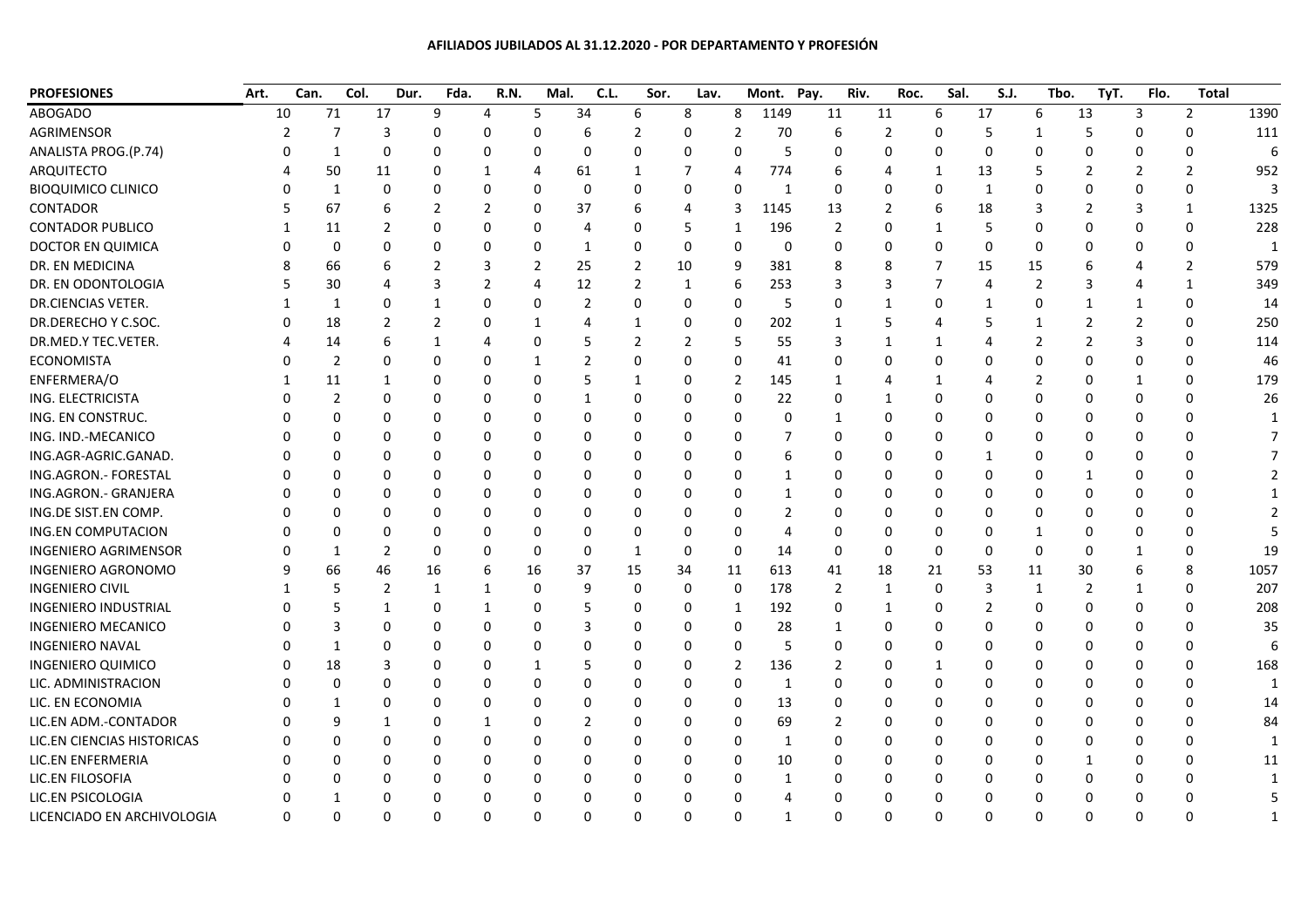## **AFILIADOS JUBILADOS AL 31.12.2020 - POR DEPARTAMENTO Y PROFESIÓN**

| <b>PROFESIONES</b>          | Art. | Can.     | Col. | Dur. | Fda.        | R.N.     | Mal.     | C.L.           | Sor.           | Lav.     |              | Mont.        | Pay.           | Riv. | Roc.          | Sal.         | S.J.           |                | Tbo.<br>TyT.   | Flo.           | <b>Total</b>   |      |
|-----------------------------|------|----------|------|------|-------------|----------|----------|----------------|----------------|----------|--------------|--------------|----------------|------|---------------|--------------|----------------|----------------|----------------|----------------|----------------|------|
| <b>ABOGADO</b>              | 10   | 71       |      | 17   | 9           | 4        | 5        | 34             | 6              | 8        | 8            | 1149         | 11             | 11   |               | 6            | 17             | 6              | 13             | 3              | $\overline{2}$ | 1390 |
| AGRIMENSOR                  |      | 7        |      | 3    |             |          |          |                |                | O        |              | 70           | 6              |      | 2             | n            | 5              |                | 5              | $\Omega$       | $\Omega$       | 111  |
| ANALISTA PROG.(P.74)        |      | 1        |      | O    |             |          |          |                | O              |          | O            | 5            | 0              |      | C             | 0            | $\Omega$       |                |                | 0              | 0              | 6    |
| ARQUITECTO                  |      | 50       |      | 11   |             |          |          | 61             |                |          | 4            | 774          | 6              |      |               | 1            | 13             | 5              | 2              |                | $\overline{2}$ | 952  |
| <b>BIOQUIMICO CLINICO</b>   |      | 1        |      |      |             |          |          | $\Omega$       |                | 0        | $\Omega$     | -1           | $\Omega$       |      |               | 0            | $\mathbf{1}$   |                |                | $\Omega$       | $\mathbf{0}$   | 3    |
| CONTADOR                    |      | 67       |      |      |             |          |          | 37             |                |          | 3            | 1145         | 13             |      | $\mathcal{P}$ | 6            | 18             | 3              | $\mathcal{P}$  | 3              | $\mathbf{1}$   | 1325 |
| <b>CONTADOR PUBLICO</b>     |      | 11       |      |      |             |          |          | 4              | 0              | 5        | $\mathbf{1}$ | 196          | 2              |      | ŋ             | 1            | -5             | $\Omega$       |                | $\Omega$       | $\Omega$       | 228  |
| DOCTOR EN QUIMICA           |      | 0        |      |      |             |          | n        | 1              | 0              | 0        | $\mathbf{0}$ | 0            | $\Omega$       |      | $\Omega$      | 0            | $\Omega$       | 0              | $\Omega$       | $\Omega$       | 0              | 1    |
| DR. EN MEDICINA             |      | 66       |      |      |             |          |          | 25             | $\overline{2}$ | 10       | 9            | 381          | 8              |      | 8             | 7            | 15             | 15             |                | 4              | $\overline{2}$ | 579  |
| DR. EN ODONTOLOGIA          |      | 30       |      |      |             |          |          | 12             | 2              | 1        | 6            | 253          | 3              |      | 3             | 7            | Δ              | 2              | 3              | 4              | 1              | 349  |
| DR.CIENCIAS VETER.          |      | 1        |      |      |             |          |          | $\overline{2}$ | 0              | 0        | 0            | 5            | 0              |      | -1            | $\Omega$     | -1             | $\Omega$       | -1             | 1              | $\Omega$       | 14   |
| DR.DERECHO Y C.SOC.         |      | 18       |      |      |             |          |          |                | 1              | 0        | 0            | 202          | 1              |      | 5             |              | 5              | -1             | $\mathcal{P}$  | $\overline{2}$ | $\Omega$       | 250  |
| DR.MED.Y TEC.VETER.         |      | 14       |      |      |             |          |          |                |                |          | 5            | 55           | 3              |      |               | -1           |                | 2              | $\mathcal{P}$  | 3              | 0              | 114  |
| <b>ECONOMISTA</b>           |      | 2        |      |      |             |          |          |                |                | 0        | 0            | 41           | 0              |      |               | <sup>0</sup> |                | O              |                | 0              | 0              | 46   |
| ENFERMERA/O                 |      | 11       |      |      |             |          |          |                | 1              | 0        | 2            | 145          | 1              |      |               | 1            |                | $\overline{2}$ |                | 1              | $\Omega$       | 179  |
| ING. ELECTRICISTA           |      | 2        |      |      |             |          |          |                |                |          | $\Omega$     | 22           | O              |      |               | $\Omega$     |                | $\Omega$       |                | $\Omega$       | $\Omega$       | 26   |
| ING. EN CONSTRUC.           |      |          |      |      |             |          |          |                | 0              | 0        | 0            | 0            | 1              |      | C             | 0            | O              | $\Omega$       |                | 0              | 0              |      |
| ING. IND.-MECANICO          |      | O        |      |      |             |          |          |                | 0              | 0        | 0            | 7            | 0              |      | 0             | $\Omega$     | O              | 0              | <sup>0</sup>   | 0              | $\Omega$       |      |
| ING.AGR-AGRIC.GANAD.        |      | 0        |      |      |             |          | n        | O              | 0              | 0        | 0            | 6            | O              |      | 0             | 0            | -1             | O              | <sup>0</sup>   | 0              | $\Omega$       |      |
| ING.AGRON.- FORESTAL        |      |          |      |      |             |          |          | $\left($       | 0              | 0        | 0            | -1           | 0              |      | 0             | $\Omega$     | $\Omega$       | 0              | -1             | 0              | $\Omega$       |      |
| ING.AGRON.- GRANJERA        |      | 0        |      |      |             |          |          |                | 0              | 0        | 0            | 1            | 0              |      | 0             | <sup>0</sup> | O              | O              | <sup>0</sup>   | 0              | $\Omega$       |      |
| ING.DE SIST.EN COMP.        |      | 0        |      |      |             |          |          |                | 0              | 0        | 0            |              | 0              |      | 0             | <sup>0</sup> | O              | n              | <sup>0</sup>   | 0              | $\Omega$       |      |
| ING.EN COMPUTACION          |      | 0        |      |      |             |          |          |                | 0              | 0        | $\Omega$     | 4            | 0              |      | 0             | 0            | O              | 1              |                | 0              | $\Omega$       |      |
| <b>INGENIERO AGRIMENSOR</b> |      | 1        |      | 2    | n           |          | 0        | 0              | 1              | $\Omega$ | 0            | 14           | 0              |      | $\Omega$      | 0            | 0              | 0              | 0              | 1              | 0              | 19   |
| <b>INGENIERO AGRONOMO</b>   |      | 66       |      | 46   | 16          |          | 16       | 37             | 15             | 34       | 11           | 613          | 41             | 18   |               | 21           | 53             | 11             | 30             | 6              | 8              | 1057 |
| <b>INGENIERO CIVIL</b>      |      |          |      | 2    | $\mathbf 1$ |          | $\Omega$ | 9              | 0              | 0        | $\mathbf 0$  | 178          | $\overline{2}$ |      | 1             | 0            | 3              | 1              | $\overline{2}$ | $\mathbf{1}$   | 0              | 207  |
| <b>INGENIERO INDUSTRIAL</b> |      |          |      |      |             |          |          |                | 0              | 0        | 1            | 192          | $\Omega$       |      | $\mathbf 1$   | 0            | $\overline{2}$ | $\Omega$       | $\Omega$       | $\Omega$       | $\Omega$       | 208  |
| <b>INGENIERO MECANICO</b>   |      |          |      |      |             |          |          |                | 0              | 0        | 0            | 28           | -1             |      | 0             | 0            | $\Omega$       | O              | <sup>0</sup>   | 0              | 0              | 35   |
| <b>INGENIERO NAVAL</b>      |      | 1        |      |      |             |          |          |                | 0              | 0        | 0            | 5            | 0              |      | 0             | 0            | n              | O              |                | $\Omega$       | $\Omega$       |      |
| <b>INGENIERO QUIMICO</b>    |      | 18       |      |      |             |          |          |                |                |          | 2            | 136          | 2              |      |               |              |                |                |                | $\Omega$       | $\Omega$       | 168  |
| LIC. ADMINISTRACION         |      | ∩        |      |      |             |          |          |                | O              | O        | 0            | -1           | 0              |      | C             | n            |                |                |                | 0              | <sup>0</sup>   |      |
| LIC. EN ECONOMIA            |      | 1        |      |      |             |          |          |                | 0              | O        | 0            | 13           | 0              |      |               | <sup>0</sup> |                |                |                | 0              | 0              | 14   |
| LIC.EN ADM.-CONTADOR        |      |          |      |      |             |          |          |                | 0              | 0        | 0            | 69           | 2              |      | C             | <sup>0</sup> |                |                |                | 0              | 0              | 84   |
| LIC.EN CIENCIAS HISTORICAS  |      |          |      |      |             |          |          |                | 0              | 0        | 0            | -1           | 0              |      | 0             | $\Omega$     | n              | O              | <sup>0</sup>   | 0              | $\Omega$       |      |
| LIC.EN ENFERMERIA           |      |          |      |      |             |          |          |                |                |          | 0            | 10           | 0              |      | C             | $\Omega$     |                | n              |                | 0              | $\mathbf{0}$   | 11   |
| LIC.EN FILOSOFIA            |      |          |      |      |             |          |          | O              | 0              | 0        | 0            | -1           | 0              |      | 0             | 0            | O              | $\Omega$       | $\Omega$       | 0              | $\Omega$       |      |
| LIC.EN PSICOLOGIA           | 0    | 1        |      | 0    | ŋ           |          | n        | O              | 0              | 0        | 0            | 4            | 0              |      | $\Omega$      | 0            | $\Omega$       | 0              | $\Omega$       | 0              | $\Omega$       |      |
| LICENCIADO EN ARCHIVOLOGIA  | O    | $\Omega$ |      | 0    | $\Omega$    | $\Omega$ | $\Omega$ | $\Omega$       | 0              | $\Omega$ | 0            | $\mathbf{1}$ | $\Omega$       |      | $\Omega$      | $\mathbf 0$  | $\Omega$       | $\mathbf 0$    | $\Omega$       | $\Omega$       | $\Omega$       |      |